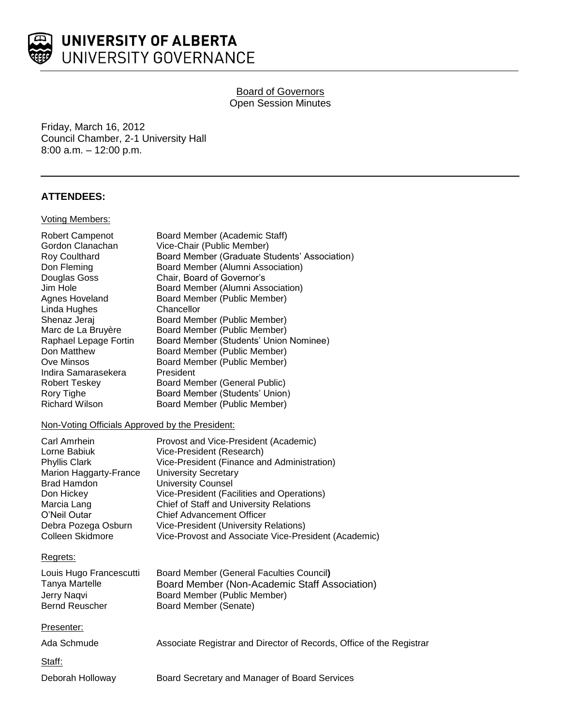

# **Board of Governors** Open Session Minutes

Friday, March 16, 2012 Council Chamber, 2-1 University Hall 8:00 a.m. – 12:00 p.m.

## **ATTENDEES:**

#### Voting Members:

| <b>Robert Campenot</b>                          | Board Member (Academic Staff)                        |
|-------------------------------------------------|------------------------------------------------------|
| Gordon Clanachan                                | Vice-Chair (Public Member)                           |
| Roy Coulthard                                   | Board Member (Graduate Students' Association)        |
| Don Fleming                                     | Board Member (Alumni Association)                    |
| Douglas Goss                                    | Chair, Board of Governor's                           |
| Jim Hole                                        | Board Member (Alumni Association)                    |
| Agnes Hoveland                                  | Board Member (Public Member)                         |
| Linda Hughes                                    | Chancellor                                           |
| Shenaz Jeraj                                    | Board Member (Public Member)                         |
| Marc de La Bruyère                              | Board Member (Public Member)                         |
| Raphael Lepage Fortin                           | Board Member (Students' Union Nominee)               |
| Don Matthew                                     | Board Member (Public Member)                         |
| Ove Minsos                                      | Board Member (Public Member)                         |
| Indira Samarasekera                             | President                                            |
| <b>Robert Teskey</b>                            | Board Member (General Public)                        |
| Rory Tighe                                      | Board Member (Students' Union)                       |
| <b>Richard Wilson</b>                           | Board Member (Public Member)                         |
| Non-Voting Officials Approved by the President: |                                                      |
| <b>Carl Amrhein</b>                             | Provost and Vice-President (Academic)                |
| Lorne Babiuk                                    | Vice-President (Research)                            |
| <b>Phyllis Clark</b>                            | Vice-President (Finance and Administration)          |
| Marion Haggarty-France                          | <b>University Secretary</b>                          |
| <b>Brad Hamdon</b>                              | <b>University Counsel</b>                            |
| Don Hickey                                      | Vice-President (Facilities and Operations)           |
| Marcia Lang                                     | Chief of Staff and University Relations              |
| O'Neil Outar                                    |                                                      |
|                                                 | <b>Chief Advancement Officer</b>                     |
| Debra Pozega Osburn                             | Vice-President (University Relations)                |
| Colleen Skidmore                                | Vice-Provost and Associate Vice-President (Academic) |
| Regrets:                                        |                                                      |
|                                                 |                                                      |
| Louis Hugo Francescutti                         | <b>Board Member (General Faculties Council)</b>      |
| Tanya Martelle                                  | Board Member (Non-Academic Staff Association)        |
| Jerry Naqvi                                     | Board Member (Public Member)                         |
| <b>Bernd Reuscher</b>                           | Board Member (Senate)                                |

Ada Schmude **Associate Registrar and Director of Records**, Office of the Registrar

Staff:

Deborah Holloway Board Secretary and Manager of Board Services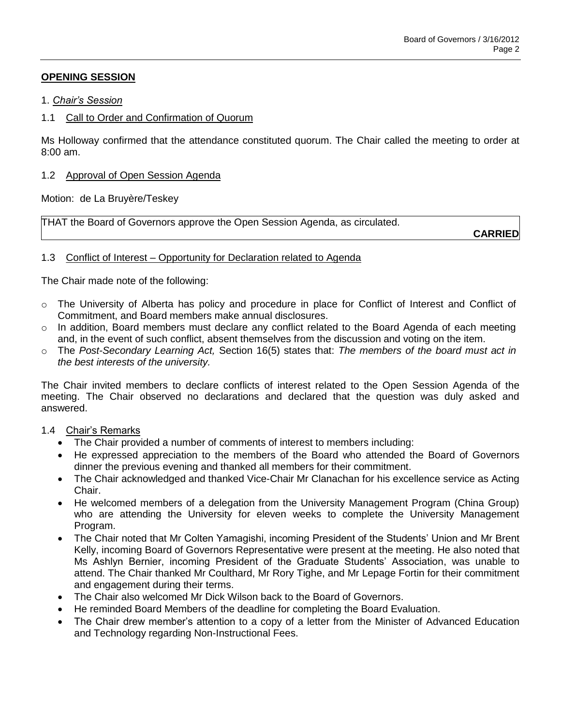# **OPENING SESSION**

## 1. *Chair's Session*

# 1.1 Call to Order and Confirmation of Quorum

Ms Holloway confirmed that the attendance constituted quorum. The Chair called the meeting to order at 8:00 am.

## 1.2 Approval of Open Session Agenda

Motion: de La Bruyère/Teskey

THAT the Board of Governors approve the Open Session Agenda, as circulated.

**CARRIED**

# 1.3 Conflict of Interest – Opportunity for Declaration related to Agenda

The Chair made note of the following:

- o The University of Alberta has policy and procedure in place for Conflict of Interest and Conflict of Commitment, and Board members make annual disclosures.
- $\circ$  In addition, Board members must declare any conflict related to the Board Agenda of each meeting and, in the event of such conflict, absent themselves from the discussion and voting on the item.
- o The *Post-Secondary Learning Act,* Section 16(5) states that: *The members of the board must act in the best interests of the university.*

The Chair invited members to declare conflicts of interest related to the Open Session Agenda of the meeting. The Chair observed no declarations and declared that the question was duly asked and answered.

# 1.4 Chair's Remarks

- The Chair provided a number of comments of interest to members including:
- He expressed appreciation to the members of the Board who attended the Board of Governors dinner the previous evening and thanked all members for their commitment.
- The Chair acknowledged and thanked Vice-Chair Mr Clanachan for his excellence service as Acting Chair.
- He welcomed members of a delegation from the University Management Program (China Group) who are attending the University for eleven weeks to complete the University Management Program.
- The Chair noted that Mr Colten Yamagishi, incoming President of the Students' Union and Mr Brent Kelly, incoming Board of Governors Representative were present at the meeting. He also noted that Ms Ashlyn Bernier, incoming President of the Graduate Students' Association, was unable to attend. The Chair thanked Mr Coulthard, Mr Rory Tighe, and Mr Lepage Fortin for their commitment and engagement during their terms.
- The Chair also welcomed Mr Dick Wilson back to the Board of Governors.
- He reminded Board Members of the deadline for completing the Board Evaluation.
- The Chair drew member's attention to a copy of a letter from the Minister of Advanced Education and Technology regarding Non-Instructional Fees.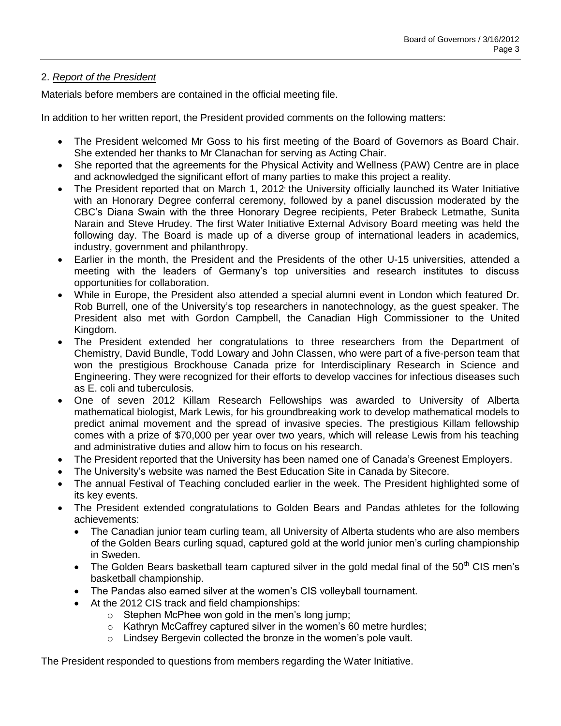# 2. *Report of the President*

Materials before members are contained in the official meeting file.

In addition to her written report, the President provided comments on the following matters:

- The President welcomed Mr Goss to his first meeting of the Board of Governors as Board Chair. She extended her thanks to Mr Clanachan for serving as Acting Chair.
- She reported that the agreements for the Physical Activity and Wellness (PAW) Centre are in place and acknowledged the significant effort of many parties to make this project a reality.
- The President reported that on March 1, 2012 the University officially launched its Water Initiative with an Honorary Degree conferral ceremony, followed by a panel discussion moderated by the CBC's Diana Swain with the three Honorary Degree recipients, Peter Brabeck Letmathe, Sunita Narain and Steve Hrudey. The first Water Initiative External Advisory Board meeting was held the following day. The Board is made up of a diverse group of international leaders in academics, industry, government and philanthropy.
- Earlier in the month, the President and the Presidents of the other U-15 universities, attended a meeting with the leaders of Germany's top universities and research institutes to discuss opportunities for collaboration.
- While in Europe, the President also attended a special alumni event in London which featured Dr. Rob Burrell, one of the University's top researchers in nanotechnology, as the guest speaker. The President also met with Gordon Campbell, the Canadian High Commissioner to the United Kingdom.
- The President extended her congratulations to three researchers from the Department of Chemistry, David Bundle, Todd Lowary and John Classen, who were part of a five-person team that won the prestigious Brockhouse Canada prize for Interdisciplinary Research in Science and Engineering. They were recognized for their efforts to develop vaccines for infectious diseases such as E. coli and tuberculosis.
- One of seven 2012 Killam Research Fellowships was awarded to University of Alberta mathematical biologist, Mark Lewis, for his groundbreaking work to develop mathematical models to predict animal movement and the spread of invasive species. The prestigious Killam fellowship comes with a prize of \$70,000 per year over two years, which will release Lewis from his teaching and administrative duties and allow him to focus on his research.
- The President reported that the University has been named one of Canada's Greenest Employers.
- The University's website was named the Best Education Site in Canada by Sitecore.
- The annual Festival of Teaching concluded earlier in the week. The President highlighted some of its key events.
- The President extended congratulations to Golden Bears and Pandas athletes for the following achievements:
	- The Canadian junior team curling team, all University of Alberta students who are also members of the Golden Bears curling squad, captured gold at the world junior men's curling championship in Sweden.
	- The Golden Bears basketball team captured silver in the gold medal final of the  $50<sup>th</sup>$  CIS men's basketball championship.
	- The Pandas also earned silver at the women's CIS volleyball tournament.
	- At the 2012 CIS track and field championships:
		- $\circ$  Stephen McPhee won gold in the men's long jump;
		- $\circ$  Kathryn McCaffrey captured silver in the women's 60 metre hurdles:
		- o Lindsey Bergevin collected the bronze in the women's pole vault.

The President responded to questions from members regarding the Water Initiative.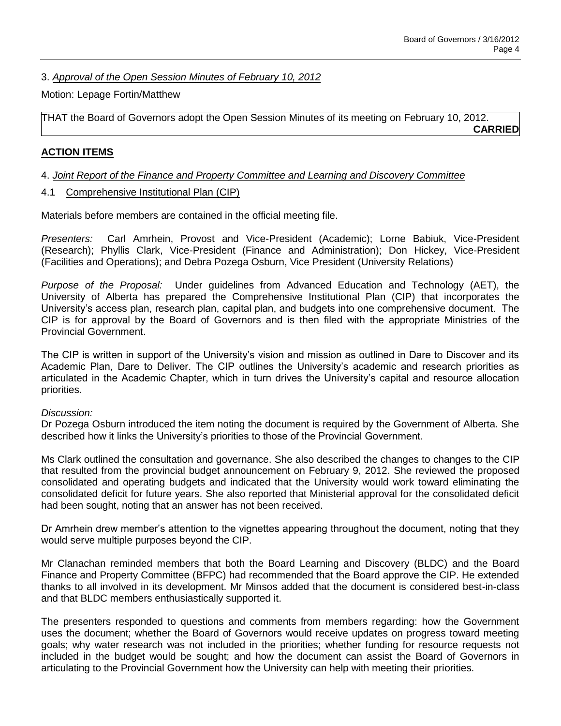3. *Approval of the Open Session Minutes of February 10, 2012*

## Motion: Lepage Fortin/Matthew

THAT the Board of Governors adopt the Open Session Minutes of its meeting on February 10, 2012. **CARRIED**

# **ACTION ITEMS**

## 4. *Joint Report of the Finance and Property Committee and Learning and Discovery Committee*

4.1 Comprehensive Institutional Plan (CIP)

Materials before members are contained in the official meeting file.

*Presenters:* Carl Amrhein, Provost and Vice-President (Academic); Lorne Babiuk, Vice-President (Research); Phyllis Clark, Vice-President (Finance and Administration); Don Hickey, Vice-President (Facilities and Operations); and Debra Pozega Osburn, Vice President (University Relations)

*Purpose of the Proposal:* Under guidelines from Advanced Education and Technology (AET), the University of Alberta has prepared the Comprehensive Institutional Plan (CIP) that incorporates the University's access plan, research plan, capital plan, and budgets into one comprehensive document. The CIP is for approval by the Board of Governors and is then filed with the appropriate Ministries of the Provincial Government.

The CIP is written in support of the University's vision and mission as outlined in Dare to Discover and its Academic Plan, Dare to Deliver. The CIP outlines the University's academic and research priorities as articulated in the Academic Chapter, which in turn drives the University's capital and resource allocation priorities.

### *Discussion:*

Dr Pozega Osburn introduced the item noting the document is required by the Government of Alberta. She described how it links the University's priorities to those of the Provincial Government.

Ms Clark outlined the consultation and governance. She also described the changes to changes to the CIP that resulted from the provincial budget announcement on February 9, 2012. She reviewed the proposed consolidated and operating budgets and indicated that the University would work toward eliminating the consolidated deficit for future years. She also reported that Ministerial approval for the consolidated deficit had been sought, noting that an answer has not been received.

Dr Amrhein drew member's attention to the vignettes appearing throughout the document, noting that they would serve multiple purposes beyond the CIP.

Mr Clanachan reminded members that both the Board Learning and Discovery (BLDC) and the Board Finance and Property Committee (BFPC) had recommended that the Board approve the CIP. He extended thanks to all involved in its development. Mr Minsos added that the document is considered best-in-class and that BLDC members enthusiastically supported it.

The presenters responded to questions and comments from members regarding: how the Government uses the document; whether the Board of Governors would receive updates on progress toward meeting goals; why water research was not included in the priorities; whether funding for resource requests not included in the budget would be sought; and how the document can assist the Board of Governors in articulating to the Provincial Government how the University can help with meeting their priorities.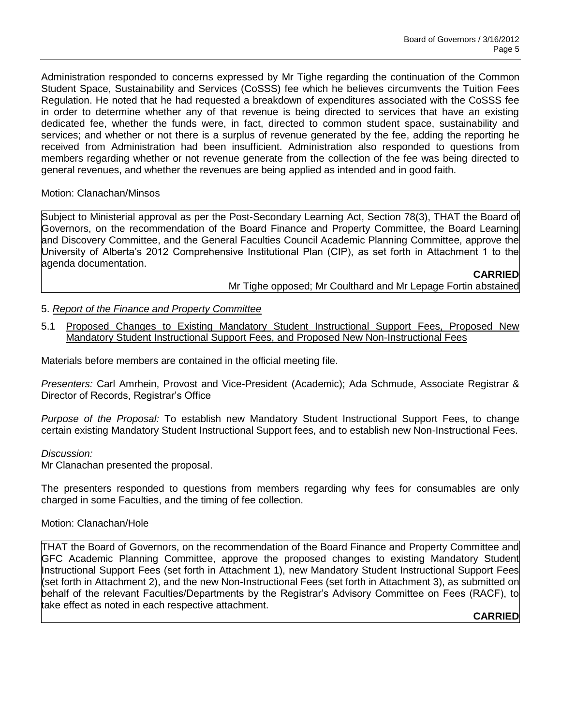Administration responded to concerns expressed by Mr Tighe regarding the continuation of the Common Student Space, Sustainability and Services (CoSSS) fee which he believes circumvents the Tuition Fees Regulation. He noted that he had requested a breakdown of expenditures associated with the CoSSS fee in order to determine whether any of that revenue is being directed to services that have an existing dedicated fee, whether the funds were, in fact, directed to common student space, sustainability and services; and whether or not there is a surplus of revenue generated by the fee, adding the reporting he received from Administration had been insufficient. Administration also responded to questions from members regarding whether or not revenue generate from the collection of the fee was being directed to general revenues, and whether the revenues are being applied as intended and in good faith.

## Motion: Clanachan/Minsos

Subject to Ministerial approval as per the Post-Secondary Learning Act, Section 78(3), THAT the Board of Governors, on the recommendation of the Board Finance and Property Committee, the Board Learning and Discovery Committee, and the General Faculties Council Academic Planning Committee, approve the University of Alberta's 2012 Comprehensive Institutional Plan (CIP), as set forth in Attachment 1 to the agenda documentation.

**CARRIED**

Mr Tighe opposed; Mr Coulthard and Mr Lepage Fortin abstained

# 5. *Report of the Finance and Property Committee*

5.1 Proposed Changes to Existing Mandatory Student Instructional Support Fees, Proposed New Mandatory Student Instructional Support Fees, and Proposed New Non-Instructional Fees

Materials before members are contained in the official meeting file.

*Presenters:* Carl Amrhein, Provost and Vice-President (Academic); Ada Schmude, Associate Registrar & Director of Records, Registrar's Office

*Purpose of the Proposal:* To establish new Mandatory Student Instructional Support Fees, to change certain existing Mandatory Student Instructional Support fees, and to establish new Non-Instructional Fees.

### *Discussion:*

Mr Clanachan presented the proposal.

The presenters responded to questions from members regarding why fees for consumables are only charged in some Faculties, and the timing of fee collection.

### Motion: Clanachan/Hole

THAT the Board of Governors, on the recommendation of the Board Finance and Property Committee and GFC Academic Planning Committee, approve the proposed changes to existing Mandatory Student Instructional Support Fees (set forth in Attachment 1), new Mandatory Student Instructional Support Fees (set forth in Attachment 2), and the new Non-Instructional Fees (set forth in Attachment 3), as submitted on behalf of the relevant Faculties/Departments by the Registrar's Advisory Committee on Fees (RACF), to take effect as noted in each respective attachment.

# **CARRIED**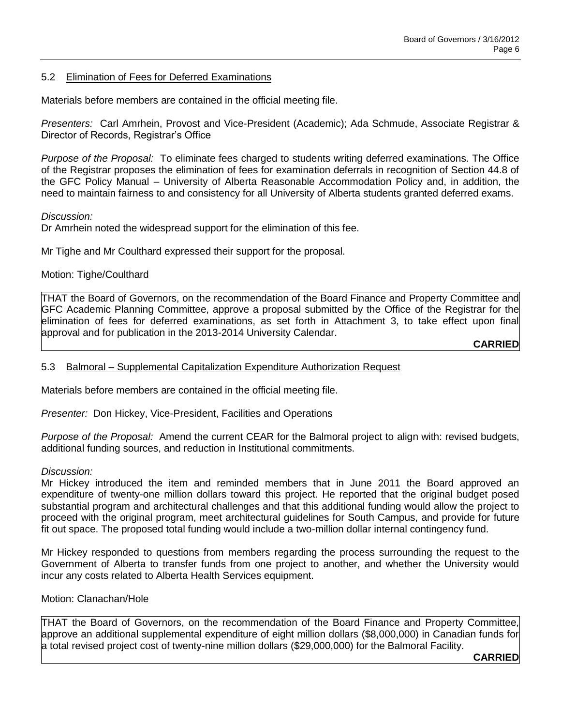## 5.2 Elimination of Fees for Deferred Examinations

Materials before members are contained in the official meeting file.

*Presenters:* Carl Amrhein, Provost and Vice-President (Academic); Ada Schmude, Associate Registrar & Director of Records, Registrar's Office

*Purpose of the Proposal:* To eliminate fees charged to students writing deferred examinations. The Office of the Registrar proposes the elimination of fees for examination deferrals in recognition of Section 44.8 of the GFC Policy Manual – University of Alberta Reasonable Accommodation Policy and, in addition, the need to maintain fairness to and consistency for all University of Alberta students granted deferred exams.

#### *Discussion:*

Dr Amrhein noted the widespread support for the elimination of this fee.

Mr Tighe and Mr Coulthard expressed their support for the proposal.

### Motion: Tighe/Coulthard

THAT the Board of Governors, on the recommendation of the Board Finance and Property Committee and GFC Academic Planning Committee, approve a proposal submitted by the Office of the Registrar for the elimination of fees for deferred examinations, as set forth in Attachment 3, to take effect upon final approval and for publication in the 2013-2014 University Calendar.

**CARRIED**

#### 5.3 Balmoral – Supplemental Capitalization Expenditure Authorization Request

Materials before members are contained in the official meeting file.

*Presenter:* Don Hickey, Vice-President, Facilities and Operations

*Purpose of the Proposal:* Amend the current CEAR for the Balmoral project to align with: revised budgets, additional funding sources, and reduction in Institutional commitments.

#### *Discussion:*

Mr Hickey introduced the item and reminded members that in June 2011 the Board approved an expenditure of twenty-one million dollars toward this project. He reported that the original budget posed substantial program and architectural challenges and that this additional funding would allow the project to proceed with the original program, meet architectural guidelines for South Campus, and provide for future fit out space. The proposed total funding would include a two-million dollar internal contingency fund.

Mr Hickey responded to questions from members regarding the process surrounding the request to the Government of Alberta to transfer funds from one project to another, and whether the University would incur any costs related to Alberta Health Services equipment.

### Motion: Clanachan/Hole

THAT the Board of Governors, on the recommendation of the Board Finance and Property Committee, approve an additional supplemental expenditure of eight million dollars (\$8,000,000) in Canadian funds for a total revised project cost of twenty-nine million dollars (\$29,000,000) for the Balmoral Facility.

**CARRIED**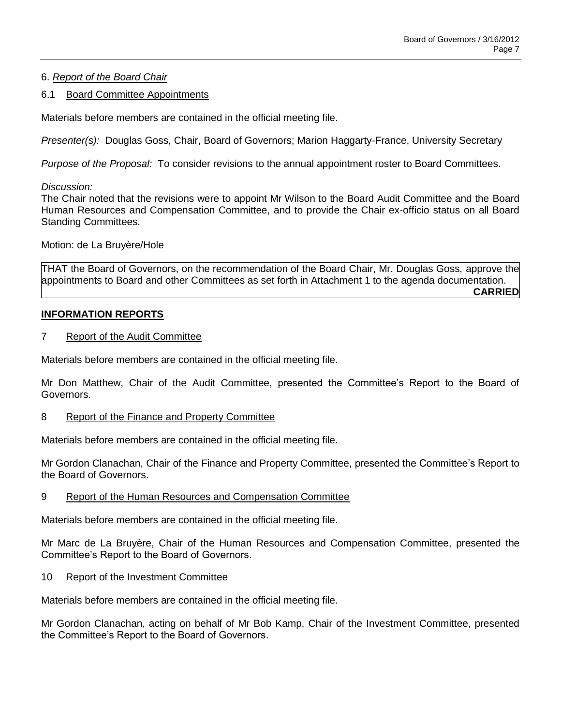# 6. *Report of the Board Chair*

### 6.1 Board Committee Appointments

Materials before members are contained in the official meeting file.

*Presenter(s):* Douglas Goss, Chair, Board of Governors; Marion Haggarty-France, University Secretary

*Purpose of the Proposal:* To consider revisions to the annual appointment roster to Board Committees.

*Discussion:*

The Chair noted that the revisions were to appoint Mr Wilson to the Board Audit Committee and the Board Human Resources and Compensation Committee, and to provide the Chair ex-officio status on all Board Standing Committees.

Motion: de La Bruyère/Hole

THAT the Board of Governors, on the recommendation of the Board Chair, Mr. Douglas Goss, approve the appointments to Board and other Committees as set forth in Attachment 1 to the agenda documentation. **CARRIED**

### **INFORMATION REPORTS**

#### 7 Report of the Audit Committee

Materials before members are contained in the official meeting file.

Mr Don Matthew, Chair of the Audit Committee, presented the Committee's Report to the Board of Governors.

### 8 Report of the Finance and Property Committee

Materials before members are contained in the official meeting file.

Mr Gordon Clanachan, Chair of the Finance and Property Committee, presented the Committee's Report to the Board of Governors.

### 9 Report of the Human Resources and Compensation Committee

Materials before members are contained in the official meeting file.

Mr Marc de La Bruyère, Chair of the Human Resources and Compensation Committee, presented the Committee's Report to the Board of Governors.

### 10 Report of the Investment Committee

Materials before members are contained in the official meeting file.

Mr Gordon Clanachan, acting on behalf of Mr Bob Kamp, Chair of the Investment Committee, presented the Committee's Report to the Board of Governors.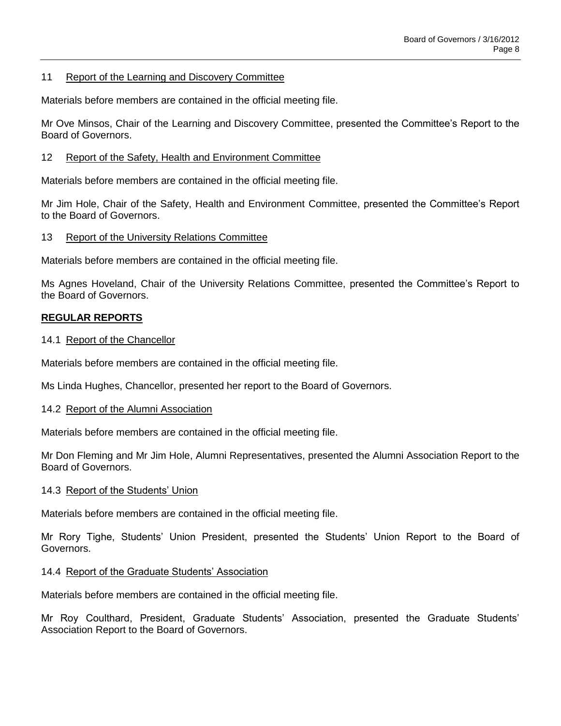### 11 Report of the Learning and Discovery Committee

Materials before members are contained in the official meeting file.

Mr Ove Minsos, Chair of the Learning and Discovery Committee, presented the Committee's Report to the Board of Governors.

### 12 Report of the Safety, Health and Environment Committee

Materials before members are contained in the official meeting file.

Mr Jim Hole, Chair of the Safety, Health and Environment Committee, presented the Committee's Report to the Board of Governors.

### 13 Report of the University Relations Committee

Materials before members are contained in the official meeting file.

Ms Agnes Hoveland, Chair of the University Relations Committee, presented the Committee's Report to the Board of Governors.

## **REGULAR REPORTS**

### 14.1 Report of the Chancellor

Materials before members are contained in the official meeting file.

Ms Linda Hughes, Chancellor, presented her report to the Board of Governors.

### 14.2 Report of the Alumni Association

Materials before members are contained in the official meeting file.

Mr Don Fleming and Mr Jim Hole, Alumni Representatives, presented the Alumni Association Report to the Board of Governors.

### 14.3 Report of the Students' Union

Materials before members are contained in the official meeting file.

Mr Rory Tighe, Students' Union President, presented the Students' Union Report to the Board of Governors.

### 14.4 Report of the Graduate Students' Association

Materials before members are contained in the official meeting file.

Mr Roy Coulthard, President, Graduate Students' Association, presented the Graduate Students' Association Report to the Board of Governors.